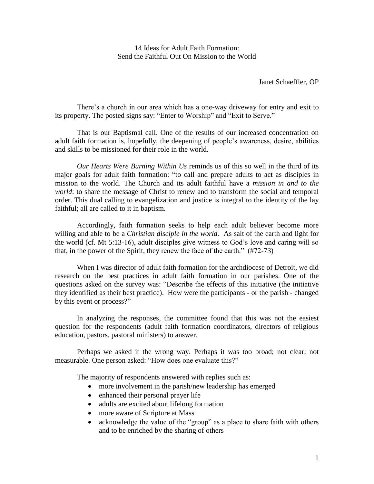14 Ideas for Adult Faith Formation: Send the Faithful Out On Mission to the World

Janet Schaeffler, OP

There's a church in our area which has a one-way driveway for entry and exit to its property. The posted signs say: "Enter to Worship" and "Exit to Serve."

That is our Baptismal call. One of the results of our increased concentration on adult faith formation is, hopefully, the deepening of people's awareness, desire, abilities and skills to be missioned for their role in the world.

*Our Hearts Were Burning Within Us* reminds us of this so well in the third of its major goals for adult faith formation: "to call and prepare adults to act as disciples in mission to the world. The Church and its adult faithful have a *mission in and to the world*: to share the message of Christ to renew and to transform the social and temporal order. This dual calling to evangelization and justice is integral to the identity of the lay faithful; all are called to it in baptism.

Accordingly, faith formation seeks to help each adult believer become more willing and able to be a *Christian disciple in the world.* As salt of the earth and light for the world (cf. Mt 5:13-16), adult disciples give witness to God's love and caring will so that, in the power of the Spirit, they renew the face of the earth." (#72-73)

When I was director of adult faith formation for the archdiocese of Detroit, we did research on the best practices in adult faith formation in our parishes. One of the questions asked on the survey was: "Describe the effects of this initiative (the initiative they identified as their best practice). How were the participants - or the parish - changed by this event or process?"

In analyzing the responses, the committee found that this was not the easiest question for the respondents (adult faith formation coordinators, directors of religious education, pastors, pastoral ministers) to answer.

Perhaps we asked it the wrong way. Perhaps it was too broad; not clear; not measurable. One person asked: "How does one evaluate this?"

The majority of respondents answered with replies such as:

- more involvement in the parish/new leadership has emerged
- enhanced their personal prayer life
- adults are excited about lifelong formation
- more aware of Scripture at Mass
- acknowledge the value of the "group" as a place to share faith with others and to be enriched by the sharing of others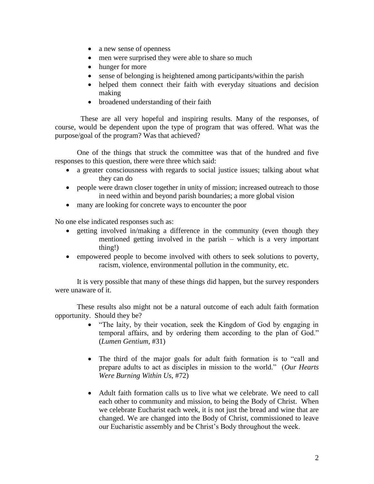- a new sense of openness
- men were surprised they were able to share so much
- hunger for more
- sense of belonging is heightened among participants/within the parish
- helped them connect their faith with everyday situations and decision making
- broadened understanding of their faith

 These are all very hopeful and inspiring results. Many of the responses, of course, would be dependent upon the type of program that was offered. What was the purpose/goal of the program? Was that achieved?

One of the things that struck the committee was that of the hundred and five responses to this question, there were three which said:

- a greater consciousness with regards to social justice issues; talking about what they can do
- people were drawn closer together in unity of mission; increased outreach to those in need within and beyond parish boundaries; a more global vision
- many are looking for concrete ways to encounter the poor

No one else indicated responses such as:

- getting involved in/making a difference in the community (even though they mentioned getting involved in the parish – which is a very important thing!)
- empowered people to become involved with others to seek solutions to poverty, racism, violence, environmental pollution in the community, etc.

It is very possible that many of these things did happen, but the survey responders were unaware of it.

These results also might not be a natural outcome of each adult faith formation opportunity. Should they be?

- "The laity, by their vocation, seek the Kingdom of God by engaging in temporal affairs, and by ordering them according to the plan of God." (*Lumen Gentium*, #31)
- The third of the major goals for adult faith formation is to "call and prepare adults to act as disciples in mission to the world." (*Our Hearts Were Burning Within Us*, #72)
- Adult faith formation calls us to live what we celebrate. We need to call each other to community and mission, to being the Body of Christ. When we celebrate Eucharist each week, it is not just the bread and wine that are changed. We are changed into the Body of Christ, commissioned to leave our Eucharistic assembly and be Christ's Body throughout the week.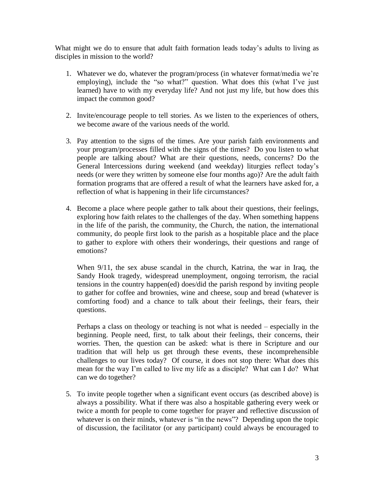What might we do to ensure that adult faith formation leads today's adults to living as disciples in mission to the world?

- 1. Whatever we do, whatever the program/process (in whatever format/media we're employing), include the "so what?" question. What does this (what I've just learned) have to with my everyday life? And not just my life, but how does this impact the common good?
- 2. Invite/encourage people to tell stories. As we listen to the experiences of others, we become aware of the various needs of the world.
- 3. Pay attention to the signs of the times. Are your parish faith environments and your program/processes filled with the signs of the times? Do you listen to what people are talking about? What are their questions, needs, concerns? Do the General Intercessions during weekend (and weekday) liturgies reflect today's needs (or were they written by someone else four months ago)? Are the adult faith formation programs that are offered a result of what the learners have asked for, a reflection of what is happening in their life circumstances?
- 4. Become a place where people gather to talk about their questions, their feelings, exploring how faith relates to the challenges of the day. When something happens in the life of the parish, the community, the Church, the nation, the international community, do people first look to the parish as a hospitable place and the place to gather to explore with others their wonderings, their questions and range of emotions?

When 9/11, the sex abuse scandal in the church, Katrina, the war in Iraq, the Sandy Hook tragedy, widespread unemployment, ongoing terrorism, the racial tensions in the country happen(ed) does/did the parish respond by inviting people to gather for coffee and brownies, wine and cheese, soup and bread (whatever is comforting food) and a chance to talk about their feelings, their fears, their questions.

Perhaps a class on theology or teaching is not what is needed – especially in the beginning. People need, first, to talk about their feelings, their concerns, their worries. Then, the question can be asked: what is there in Scripture and our tradition that will help us get through these events, these incomprehensible challenges to our lives today? Of course, it does not stop there: What does this mean for the way I'm called to live my life as a disciple? What can I do? What can we do together?

5. To invite people together when a significant event occurs (as described above) is always a possibility. What if there was also a hospitable gathering every week or twice a month for people to come together for prayer and reflective discussion of whatever is on their minds, whatever is "in the news"? Depending upon the topic of discussion, the facilitator (or any participant) could always be encouraged to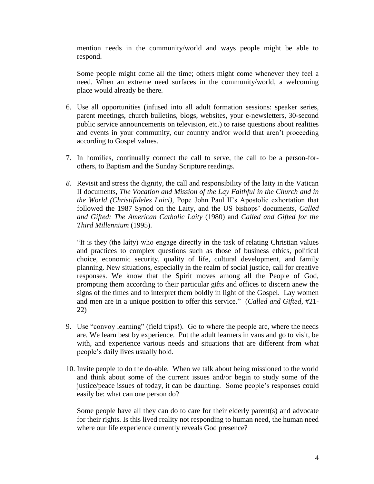mention needs in the community/world and ways people might be able to respond.

Some people might come all the time; others might come whenever they feel a need. When an extreme need surfaces in the community/world, a welcoming place would already be there.

- 6. Use all opportunities (infused into all adult formation sessions: speaker series, parent meetings, church bulletins, blogs, websites, your e-newsletters, 30-second public service announcements on television, etc.) to raise questions about realities and events in your community, our country and/or world that aren't proceeding according to Gospel values.
- 7. In homilies, continually connect the call to serve, the call to be a person-forothers, to Baptism and the Sunday Scripture readings.
- *8.* Revisit and stress the dignity, the call and responsibility of the laity in the Vatican II documents, *The Vocation and Mission of the Lay Faithful in the Church and in the World (Christifideles Laici)*, Pope John Paul II's Apostolic exhortation that followed the 1987 Synod on the Laity, and the US bishops' documents, *Called and Gifted: The American Catholic Laity* (1980) and *Called and Gifted for the Third Millennium* (1995).

"It is they (the laity) who engage directly in the task of relating Christian values and practices to complex questions such as those of business ethics, political choice, economic security, quality of life, cultural development, and family planning. New situations, especially in the realm of social justice, call for creative responses. We know that the Spirit moves among all the People of God, prompting them according to their particular gifts and offices to discern anew the signs of the times and to interpret them boldly in light of the Gospel. Lay women and men are in a unique position to offer this service." (*Called and Gifted*, #21- 22)

- 9. Use "convoy learning" (field trips!). Go to where the people are, where the needs are. We learn best by experience. Put the adult learners in vans and go to visit, be with, and experience various needs and situations that are different from what people's daily lives usually hold.
- 10. Invite people to do the do-able. When we talk about being missioned to the world and think about some of the current issues and/or begin to study some of the justice/peace issues of today, it can be daunting. Some people's responses could easily be: what can one person do?

Some people have all they can do to care for their elderly parent(s) and advocate for their rights. Is this lived reality not responding to human need, the human need where our life experience currently reveals God presence?